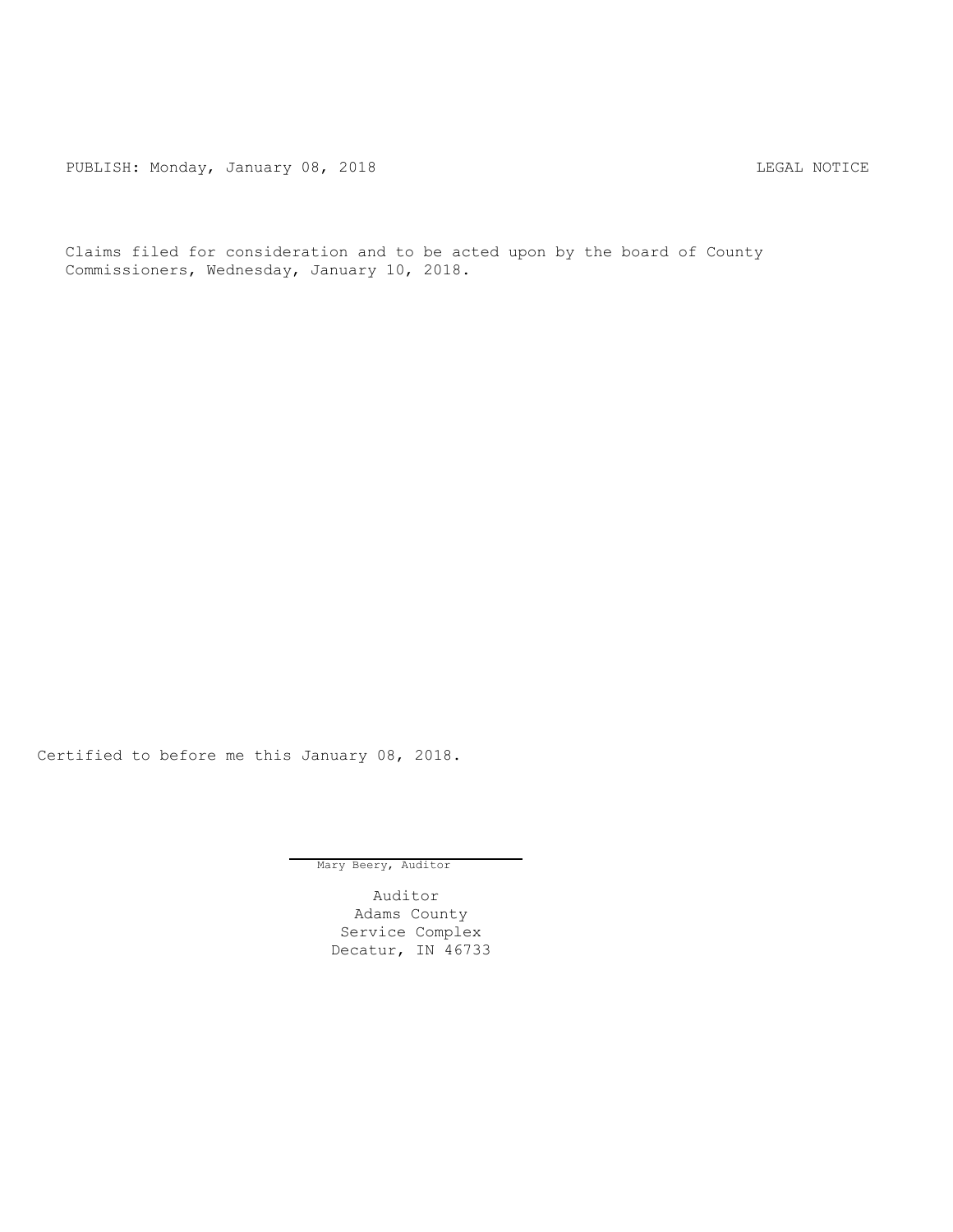PUBLISH: Monday, January 08, 2018 CHA CHANGE CONSTRUCTED AND THE LEGAL NOTICE

Claims filed for consideration and to be acted upon by the board of County Commissioners, Wednesday, January 10, 2018.

Certified to before me this January 08, 2018.

Mary Beery, Auditor

Auditor Adams County Service Complex Decatur, IN 46733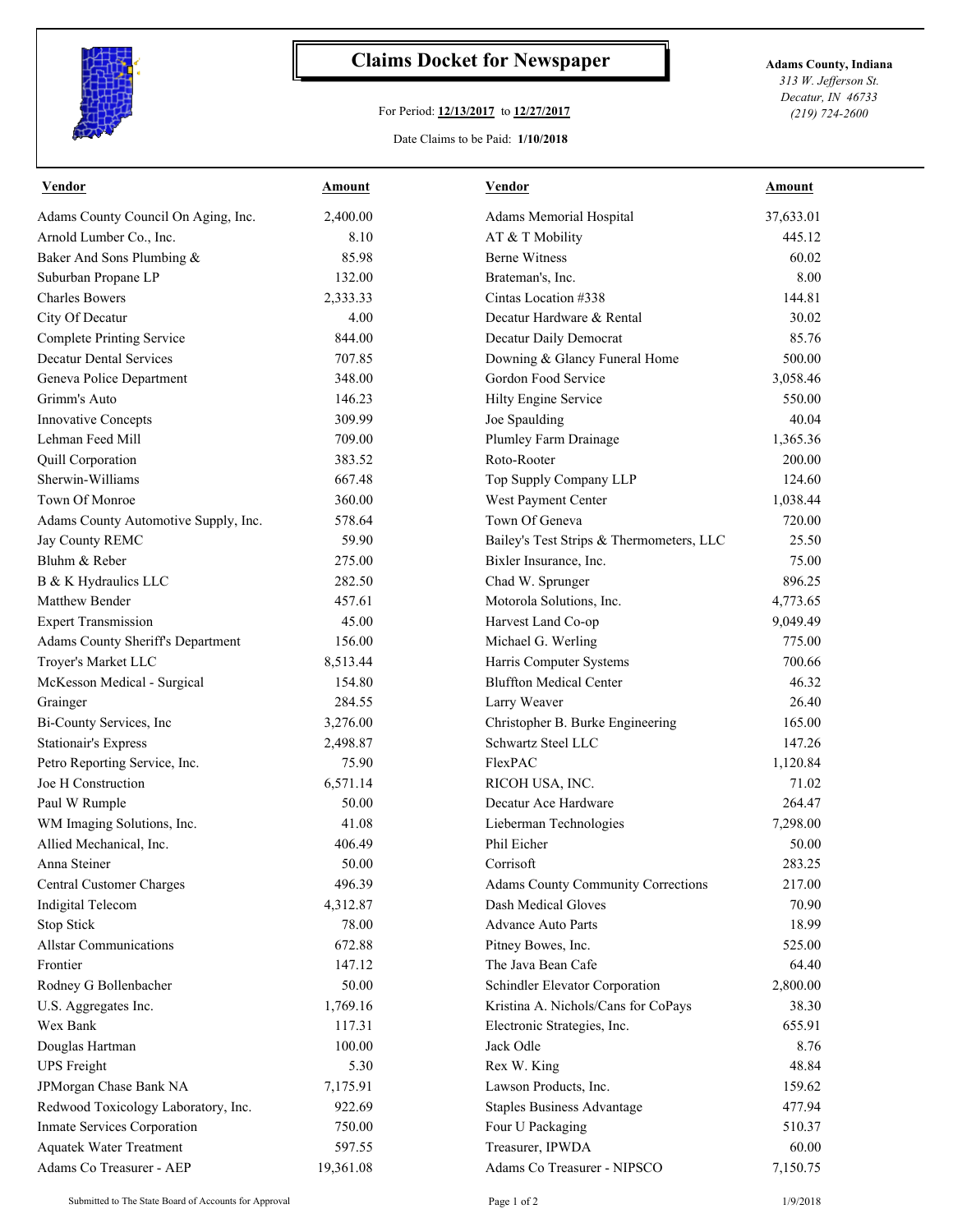

## **Claims Docket for Newspaper Adams County, Indiana**

## For Period: **12/13/2017** to **12/27/2017**

*313 W. Jefferson St. Decatur, IN 46733 (219) 724-2600*

## Date Claims to be Paid: **1/10/2018**

| <u>Vendor</u>                        | <b>Amount</b> | <b>Vendor</b>                             | <b>Amount</b> |
|--------------------------------------|---------------|-------------------------------------------|---------------|
| Adams County Council On Aging, Inc.  | 2,400.00      | Adams Memorial Hospital                   | 37,633.01     |
| Arnold Lumber Co., Inc.              | 8.10          | AT & T Mobility                           | 445.12        |
| Baker And Sons Plumbing &            | 85.98         | <b>Berne Witness</b>                      | 60.02         |
| Suburban Propane LP                  | 132.00        | Brateman's, Inc.                          | 8.00          |
| <b>Charles Bowers</b>                | 2,333.33      | Cintas Location #338                      | 144.81        |
| City Of Decatur                      | 4.00          | Decatur Hardware & Rental                 | 30.02         |
| <b>Complete Printing Service</b>     | 844.00        | Decatur Daily Democrat                    | 85.76         |
| <b>Decatur Dental Services</b>       | 707.85        | Downing & Glancy Funeral Home             | 500.00        |
| Geneva Police Department             | 348.00        | Gordon Food Service                       | 3,058.46      |
| Grimm's Auto                         | 146.23        | Hilty Engine Service                      | 550.00        |
| Innovative Concepts                  | 309.99        | Joe Spaulding                             | 40.04         |
| Lehman Feed Mill                     | 709.00        | Plumley Farm Drainage                     | 1,365.36      |
| Quill Corporation                    | 383.52        | Roto-Rooter                               | 200.00        |
| Sherwin-Williams                     | 667.48        | Top Supply Company LLP                    | 124.60        |
| Town Of Monroe                       | 360.00        | West Payment Center                       | 1,038.44      |
| Adams County Automotive Supply, Inc. | 578.64        | Town Of Geneva                            | 720.00        |
| Jay County REMC                      | 59.90         | Bailey's Test Strips & Thermometers, LLC  | 25.50         |
| Bluhm & Reber                        | 275.00        | Bixler Insurance, Inc.                    | 75.00         |
| B & K Hydraulics LLC                 | 282.50        | Chad W. Sprunger                          | 896.25        |
| Matthew Bender                       | 457.61        | Motorola Solutions, Inc.                  | 4,773.65      |
| <b>Expert Transmission</b>           | 45.00         | Harvest Land Co-op                        | 9,049.49      |
| Adams County Sheriff's Department    | 156.00        | Michael G. Werling                        | 775.00        |
| Troyer's Market LLC                  | 8,513.44      | Harris Computer Systems                   | 700.66        |
| McKesson Medical - Surgical          | 154.80        | <b>Bluffton Medical Center</b>            | 46.32         |
| Grainger                             | 284.55        | Larry Weaver                              | 26.40         |
| Bi-County Services, Inc              | 3,276.00      | Christopher B. Burke Engineering          | 165.00        |
| <b>Stationair's Express</b>          | 2,498.87      | Schwartz Steel LLC                        | 147.26        |
| Petro Reporting Service, Inc.        | 75.90         | FlexPAC                                   | 1,120.84      |
| Joe H Construction                   | 6,571.14      | RICOH USA, INC.                           | 71.02         |
| Paul W Rumple                        | 50.00         | Decatur Ace Hardware                      | 264.47        |
| WM Imaging Solutions, Inc.           | 41.08         | Lieberman Technologies                    | 7,298.00      |
| Allied Mechanical, Inc.              | 406.49        | Phil Eicher                               | 50.00         |
| Anna Steiner                         | 50.00         | Corrisoft                                 | 283.25        |
| Central Customer Charges             | 496.39        | <b>Adams County Community Corrections</b> | 217.00        |
| Indigital Telecom                    | 4,312.87      | Dash Medical Gloves                       | 70.90         |
| Stop Stick                           | 78.00         | <b>Advance Auto Parts</b>                 | 18.99         |
| <b>Allstar Communications</b>        | 672.88        | Pitney Bowes, Inc.                        | 525.00        |
| Frontier                             | 147.12        | The Java Bean Cafe                        | 64.40         |
| Rodney G Bollenbacher                | 50.00         | Schindler Elevator Corporation            | 2,800.00      |
| U.S. Aggregates Inc.                 | 1,769.16      | Kristina A. Nichols/Cans for CoPays       | 38.30         |
| Wex Bank                             | 117.31        | Electronic Strategies, Inc.               | 655.91        |
| Douglas Hartman                      | 100.00        | Jack Odle                                 | 8.76          |
| <b>UPS</b> Freight                   | 5.30          | Rex W. King                               | 48.84         |
| JPMorgan Chase Bank NA               | 7,175.91      | Lawson Products, Inc.                     | 159.62        |
| Redwood Toxicology Laboratory, Inc.  | 922.69        | <b>Staples Business Advantage</b>         | 477.94        |
| Inmate Services Corporation          | 750.00        | Four U Packaging                          | 510.37        |
| <b>Aquatek Water Treatment</b>       | 597.55        | Treasurer, IPWDA                          | 60.00         |
| Adams Co Treasurer - AEP             | 19,361.08     | Adams Co Treasurer - NIPSCO               | 7,150.75      |
|                                      |               |                                           |               |